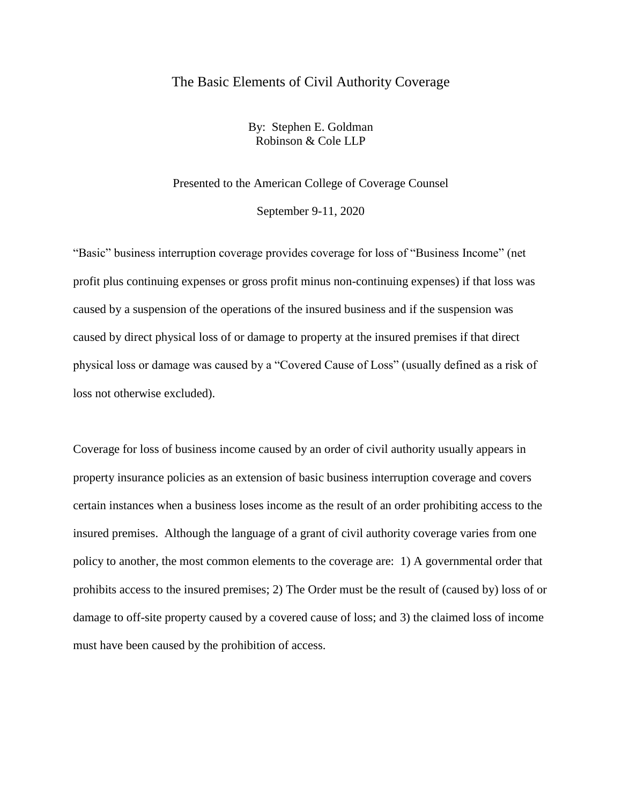# The Basic Elements of Civil Authority Coverage

By: Stephen E. Goldman Robinson & Cole LLP

Presented to the American College of Coverage Counsel

September 9-11, 2020

"Basic" business interruption coverage provides coverage for loss of "Business Income" (net profit plus continuing expenses or gross profit minus non-continuing expenses) if that loss was caused by a suspension of the operations of the insured business and if the suspension was caused by direct physical loss of or damage to property at the insured premises if that direct physical loss or damage was caused by a "Covered Cause of Loss" (usually defined as a risk of loss not otherwise excluded).

Coverage for loss of business income caused by an order of civil authority usually appears in property insurance policies as an extension of basic business interruption coverage and covers certain instances when a business loses income as the result of an order prohibiting access to the insured premises. Although the language of a grant of civil authority coverage varies from one policy to another, the most common elements to the coverage are: 1) A governmental order that prohibits access to the insured premises; 2) The Order must be the result of (caused by) loss of or damage to off-site property caused by a covered cause of loss; and 3) the claimed loss of income must have been caused by the prohibition of access.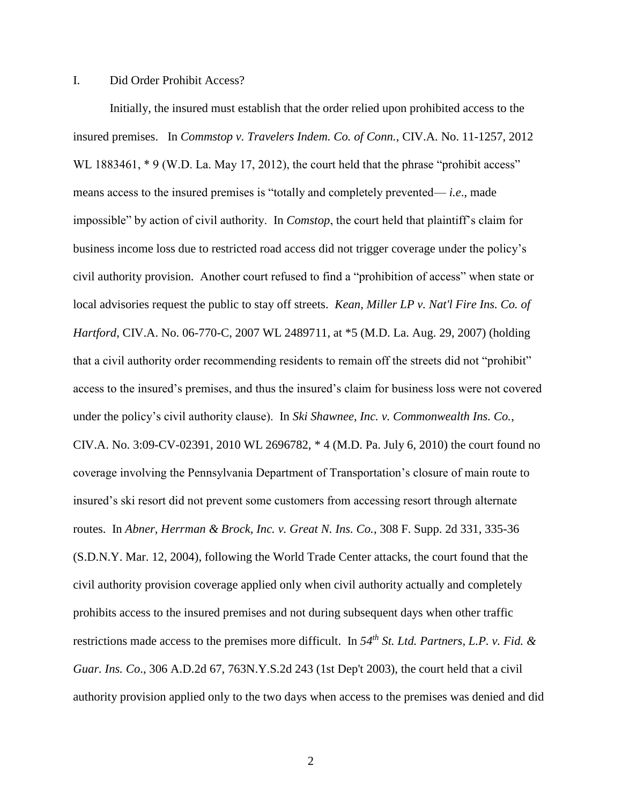## I. Did Order Prohibit Access?

Initially, the insured must establish that the order relied upon prohibited access to the insured premises. In *Commstop v. Travelers Indem. Co. of Conn.*, CIV.A. No. 11-1257, 2012 WL 1883461, \* 9 (W.D. La. May 17, 2012), the court held that the phrase "prohibit access" means access to the insured premises is "totally and completely prevented— *i.e*., made impossible" by action of civil authority. In *Comstop*, the court held that plaintiff's claim for business income loss due to restricted road access did not trigger coverage under the policy's civil authority provision. Another court refused to find a "prohibition of access" when state or local advisories request the public to stay off streets. *Kean, Miller LP v. Nat'l Fire Ins. Co. of Hartford*, CIV.A. No. 06-770-C, 2007 WL 2489711, at \*5 (M.D. La. Aug. 29, 2007) (holding that a civil authority order recommending residents to remain off the streets did not "prohibit" access to the insured's premises, and thus the insured's claim for business loss were not covered under the policy's civil authority clause). In *Ski Shawnee, Inc. v. Commonwealth Ins. Co.*, CIV.A. No. 3:09-CV-02391, 2010 WL 2696782, \* 4 (M.D. Pa. July 6, 2010) the court found no coverage involving the Pennsylvania Department of Transportation's closure of main route to insured's ski resort did not prevent some customers from accessing resort through alternate routes. In *Abner, Herrman & Brock, Inc. v. Great N. Ins. Co.*, 308 F. Supp. 2d 331, 335-36 (S.D.N.Y. Mar. 12, 2004), following the World Trade Center attacks, the court found that the civil authority provision coverage applied only when civil authority actually and completely prohibits access to the insured premises and not during subsequent days when other traffic restrictions made access to the premises more difficult. In *54th St. Ltd. Partners, L.P. v. Fid. & Guar. Ins. Co*., 306 A.D.2d 67, 763N.Y.S.2d 243 (1st Dep't 2003), the court held that a civil authority provision applied only to the two days when access to the premises was denied and did

2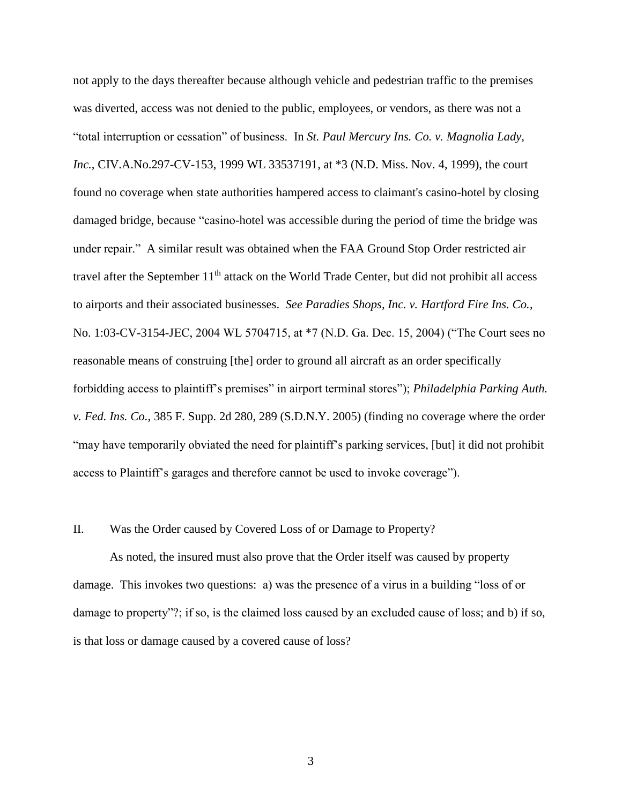not apply to the days thereafter because although vehicle and pedestrian traffic to the premises was diverted, access was not denied to the public, employees, or vendors, as there was not a "total interruption or cessation" of business. In *St. Paul Mercury Ins. Co. v. Magnolia Lady, Inc.,* CIV.A.No.297-CV-153, 1999 WL 33537191, at \*3 (N.D. Miss. Nov. 4, 1999), the court found no coverage when state authorities hampered access to claimant's casino-hotel by closing damaged bridge, because "casino-hotel was accessible during the period of time the bridge was under repair." A similar result was obtained when the FAA Ground Stop Order restricted air travel after the September 11<sup>th</sup> attack on the World Trade Center, but did not prohibit all access to airports and their associated businesses. *See Paradies Shops, Inc. v. Hartford Fire Ins. Co.*, No. 1:03-CV-3154-JEC, 2004 WL 5704715, at \*7 (N.D. Ga. Dec. 15, 2004) ("The Court sees no reasonable means of construing [the] order to ground all aircraft as an order specifically forbidding access to plaintiff's premises" in airport terminal stores"); *Philadelphia Parking Auth. v. Fed. Ins. Co.*, 385 F. Supp. 2d 280, 289 (S.D.N.Y. 2005) (finding no coverage where the order "may have temporarily obviated the need for plaintiff's parking services, [but] it did not prohibit access to Plaintiff's garages and therefore cannot be used to invoke coverage").

#### II. Was the Order caused by Covered Loss of or Damage to Property?

As noted, the insured must also prove that the Order itself was caused by property damage. This invokes two questions: a) was the presence of a virus in a building "loss of or damage to property"?; if so, is the claimed loss caused by an excluded cause of loss; and b) if so, is that loss or damage caused by a covered cause of loss?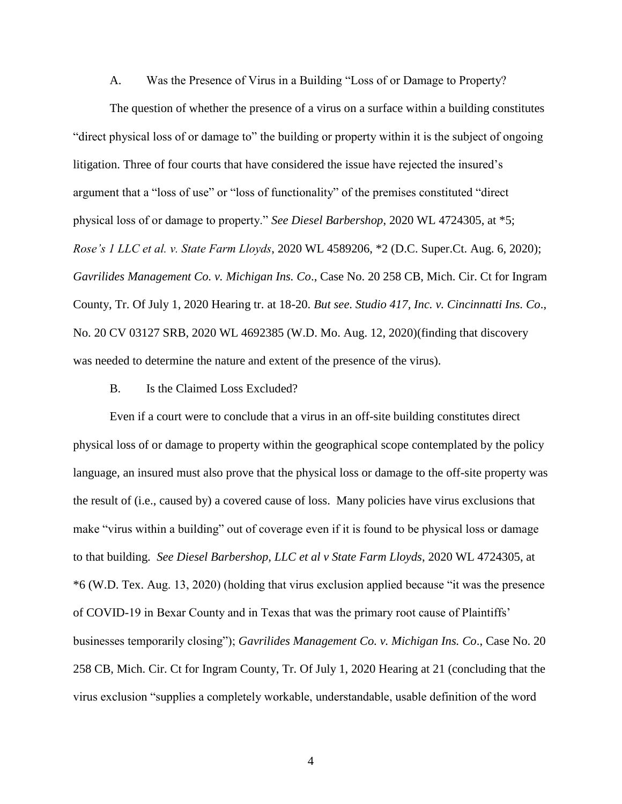#### A. Was the Presence of Virus in a Building "Loss of or Damage to Property?

The question of whether the presence of a virus on a surface within a building constitutes "direct physical loss of or damage to" the building or property within it is the subject of ongoing litigation. Three of four courts that have considered the issue have rejected the insured's argument that a "loss of use" or "loss of functionality" of the premises constituted "direct physical loss of or damage to property." *See Diesel Barbershop*, 2020 WL 4724305, at \*5; *Rose's 1 LLC et al. v. State Farm Lloyds*, 2020 WL 4589206, \*2 (D.C. Super.Ct. Aug. 6, 2020); *Gavrilides Management Co. v. Michigan Ins. Co*., Case No. 20 258 CB, Mich. Cir. Ct for Ingram County, Tr. Of July 1, 2020 Hearing tr. at 18-20. *But see*. *Studio 417, Inc. v. Cincinnatti Ins. Co*., No. 20 CV 03127 SRB, 2020 WL 4692385 (W.D. Mo. Aug. 12, 2020)(finding that discovery was needed to determine the nature and extent of the presence of the virus).

### B. Is the Claimed Loss Excluded?

Even if a court were to conclude that a virus in an off-site building constitutes direct physical loss of or damage to property within the geographical scope contemplated by the policy language, an insured must also prove that the physical loss or damage to the off-site property was the result of (i.e., caused by) a covered cause of loss. Many policies have virus exclusions that make "virus within a building" out of coverage even if it is found to be physical loss or damage to that building. *See Diesel Barbershop, LLC et al v State Farm Lloyds*, 2020 WL 4724305, at \*6 (W.D. Tex. Aug. 13, 2020) (holding that virus exclusion applied because "it was the presence of COVID-19 in Bexar County and in Texas that was the primary root cause of Plaintiffs' businesses temporarily closing"); *Gavrilides Management Co. v. Michigan Ins. Co*., Case No. 20 258 CB, Mich. Cir. Ct for Ingram County, Tr. Of July 1, 2020 Hearing at 21 (concluding that the virus exclusion "supplies a completely workable, understandable, usable definition of the word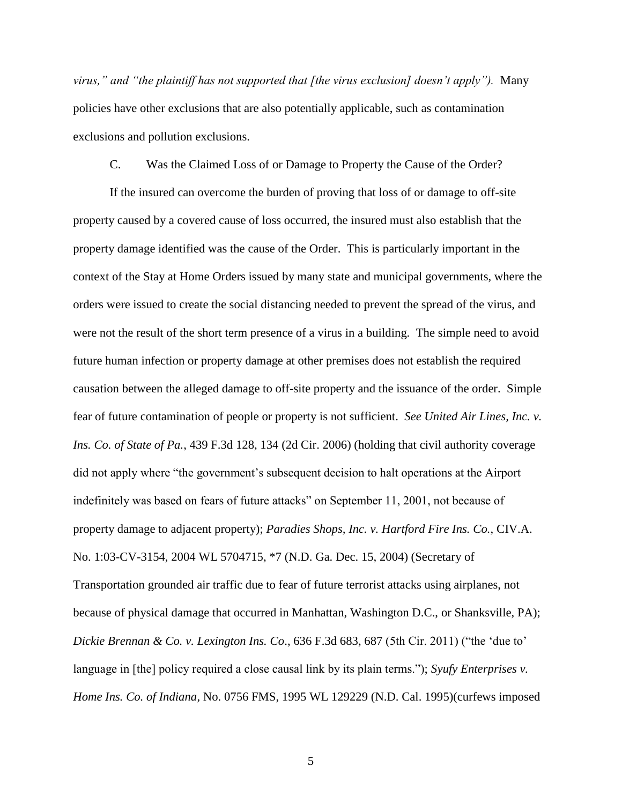*virus," and "the plaintiff has not supported that [the virus exclusion] doesn't apply").* Many policies have other exclusions that are also potentially applicable, such as contamination exclusions and pollution exclusions.

## C. Was the Claimed Loss of or Damage to Property the Cause of the Order?

If the insured can overcome the burden of proving that loss of or damage to off-site property caused by a covered cause of loss occurred, the insured must also establish that the property damage identified was the cause of the Order. This is particularly important in the context of the Stay at Home Orders issued by many state and municipal governments, where the orders were issued to create the social distancing needed to prevent the spread of the virus, and were not the result of the short term presence of a virus in a building. The simple need to avoid future human infection or property damage at other premises does not establish the required causation between the alleged damage to off-site property and the issuance of the order. Simple fear of future contamination of people or property is not sufficient. *See United Air Lines, Inc. v. Ins. Co. of State of Pa.*, 439 F.3d 128, 134 (2d Cir. 2006) (holding that civil authority coverage did not apply where "the government's subsequent decision to halt operations at the Airport indefinitely was based on fears of future attacks" on September 11, 2001, not because of property damage to adjacent property); *Paradies Shops, Inc. v. Hartford Fire Ins. Co.*, CIV.A. No. 1:03-CV-3154, 2004 WL 5704715, \*7 (N.D. Ga. Dec. 15, 2004) (Secretary of Transportation grounded air traffic due to fear of future terrorist attacks using airplanes, not because of physical damage that occurred in Manhattan, Washington D.C., or Shanksville, PA); *Dickie Brennan & Co. v. Lexington Ins. Co*., 636 F.3d 683, 687 (5th Cir. 2011) ("the 'due to' language in [the] policy required a close causal link by its plain terms."); *Syufy Enterprises v. Home Ins. Co. of Indiana,* No. 0756 FMS, 1995 WL 129229 (N.D. Cal. 1995)(curfews imposed